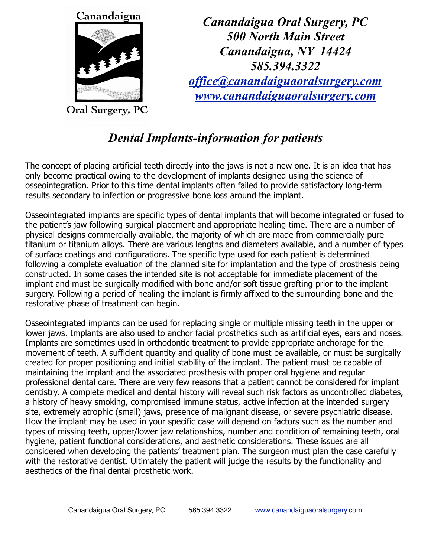

**Oral Surgery, PC** 

*Canandaigua Oral Surgery, PC 500 North Main Street Canandaigua, NY 14424 585.394.3322 [office@canandaiguaoralsurgery.com](mailto:office@canandaiguaoralsurgery.com) [www.canandaiguaoralsurgery.com](http://www.canandaiguaoralsurgery.com)*

## *Dental Implants-information for patients*

The concept of placing artificial teeth directly into the jaws is not a new one. It is an idea that has only become practical owing to the development of implants designed using the science of osseointegration. Prior to this time dental implants often failed to provide satisfactory long-term results secondary to infection or progressive bone loss around the implant.

Osseointegrated implants are specific types of dental implants that will become integrated or fused to the patient's jaw following surgical placement and appropriate healing time. There are a number of physical designs commercially available, the majority of which are made from commercially pure titanium or titanium alloys. There are various lengths and diameters available, and a number of types of surface coatings and configurations. The specific type used for each patient is determined following a complete evaluation of the planned site for implantation and the type of prosthesis being constructed. In some cases the intended site is not acceptable for immediate placement of the implant and must be surgically modified with bone and/or soft tissue grafting prior to the implant surgery. Following a period of healing the implant is firmly affixed to the surrounding bone and the restorative phase of treatment can begin.

Osseointegrated implants can be used for replacing single or multiple missing teeth in the upper or lower jaws. Implants are also used to anchor facial prosthetics such as artificial eyes, ears and noses. Implants are sometimes used in orthodontic treatment to provide appropriate anchorage for the movement of teeth. A sufficient quantity and quality of bone must be available, or must be surgically created for proper positioning and initial stability of the implant. The patient must be capable of maintaining the implant and the associated prosthesis with proper oral hygiene and regular professional dental care. There are very few reasons that a patient cannot be considered for implant dentistry. A complete medical and dental history will reveal such risk factors as uncontrolled diabetes, a history of heavy smoking, compromised immune status, active infection at the intended surgery site, extremely atrophic (small) jaws, presence of malignant disease, or severe psychiatric disease. How the implant may be used in your specific case will depend on factors such as the number and types of missing teeth, upper/lower jaw relationships, number and condition of remaining teeth, oral hygiene, patient functional considerations, and aesthetic considerations. These issues are all considered when developing the patients' treatment plan. The surgeon must plan the case carefully with the restorative dentist. Ultimately the patient will judge the results by the functionality and aesthetics of the final dental prosthetic work.